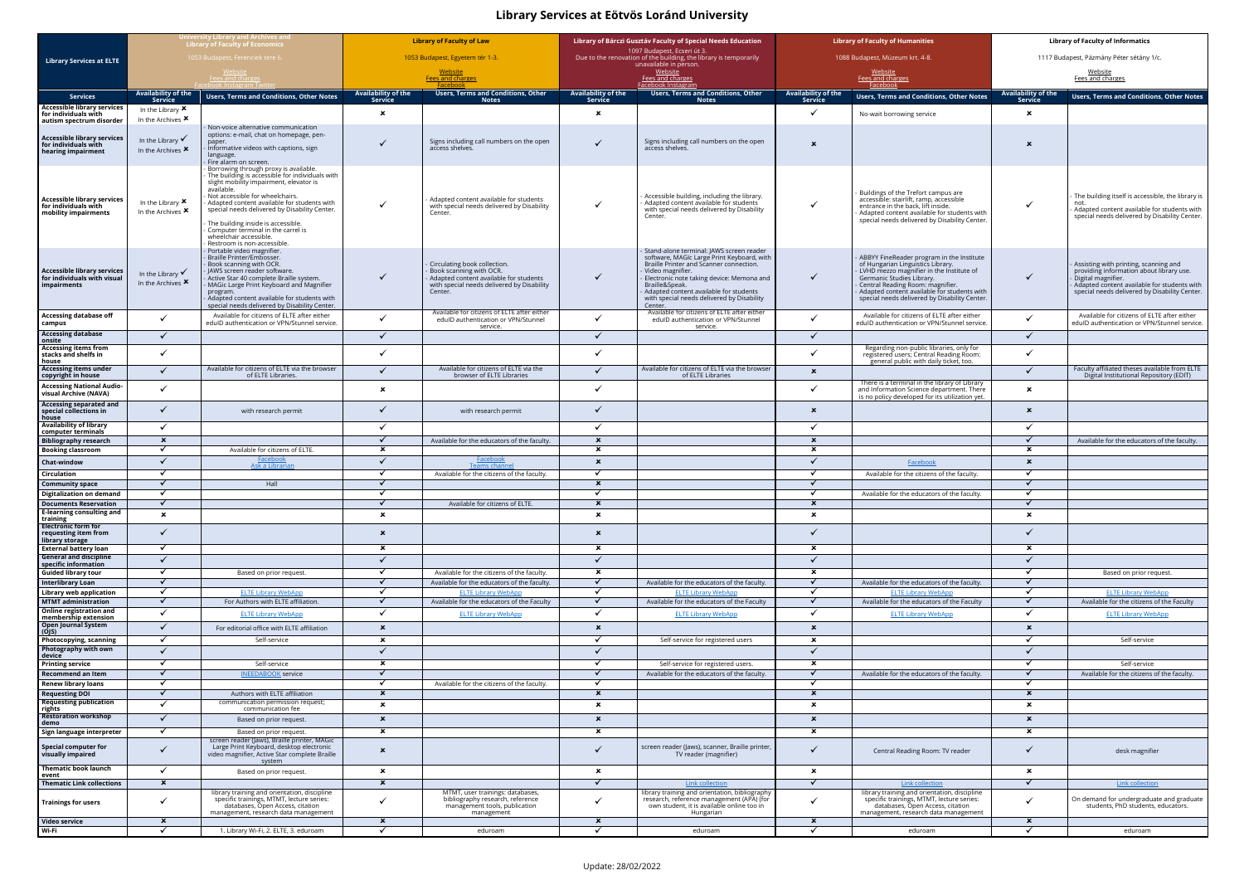## **Library Services at Eötvös Loránd University**

|                                                                                         | Jniversity Library and Archives and<br><b>Library of Faculty of Economics</b><br>1053 Budapest, Ferenciek tere 6<br>Fees and charges |                                                                                                                                                                                                                                                                                                                                                                                                                                                        | <b>Library of Faculty of Law</b>          |                                                                                                                                                            | Library of Bárczi Gusztáv Faculty of Special Needs Education<br>1097 Budapest, Ecseri út 3. |                                                                                                                                                                                                                                                                                                                         | <b>Library of Faculty of Humanities</b>   |                                                                                                                                                                                                                                                                                             | <b>Library of Faculty of Informatics</b>  |                                                                                                                                                                                                         |
|-----------------------------------------------------------------------------------------|--------------------------------------------------------------------------------------------------------------------------------------|--------------------------------------------------------------------------------------------------------------------------------------------------------------------------------------------------------------------------------------------------------------------------------------------------------------------------------------------------------------------------------------------------------------------------------------------------------|-------------------------------------------|------------------------------------------------------------------------------------------------------------------------------------------------------------|---------------------------------------------------------------------------------------------|-------------------------------------------------------------------------------------------------------------------------------------------------------------------------------------------------------------------------------------------------------------------------------------------------------------------------|-------------------------------------------|---------------------------------------------------------------------------------------------------------------------------------------------------------------------------------------------------------------------------------------------------------------------------------------------|-------------------------------------------|---------------------------------------------------------------------------------------------------------------------------------------------------------------------------------------------------------|
|                                                                                         |                                                                                                                                      |                                                                                                                                                                                                                                                                                                                                                                                                                                                        |                                           |                                                                                                                                                            |                                                                                             |                                                                                                                                                                                                                                                                                                                         |                                           |                                                                                                                                                                                                                                                                                             |                                           |                                                                                                                                                                                                         |
| <b>Library Services at ELTE</b>                                                         |                                                                                                                                      |                                                                                                                                                                                                                                                                                                                                                                                                                                                        | 1053 Budapest, Egyetem tér 1-3.           |                                                                                                                                                            | Due to the renovation of the building, the library is temporarily<br>unavailable in person. |                                                                                                                                                                                                                                                                                                                         | 1088 Budapest, Múzeum krt. 4-8.           |                                                                                                                                                                                                                                                                                             | 1117 Budapest, Pázmány Péter sétány 1/c.  |                                                                                                                                                                                                         |
|                                                                                         |                                                                                                                                      |                                                                                                                                                                                                                                                                                                                                                                                                                                                        | <u>Website</u><br><b>Fees and charges</b> |                                                                                                                                                            | <u>Website</u><br>Fees and charges                                                          |                                                                                                                                                                                                                                                                                                                         | <u>Website</u><br>Fees and charges        |                                                                                                                                                                                                                                                                                             | <u>Website</u><br>Fees and charges        |                                                                                                                                                                                                         |
|                                                                                         | Availability of the                                                                                                                  |                                                                                                                                                                                                                                                                                                                                                                                                                                                        | Availability of the                       | <b>Users, Terms and Conditions, Other</b>                                                                                                                  | <b>Availability of the</b>                                                                  | Facebook Instagram<br>Users, Terms and Conditions, Other                                                                                                                                                                                                                                                                | Availability of the                       | Facebook                                                                                                                                                                                                                                                                                    | <b>Availability of the</b>                |                                                                                                                                                                                                         |
| <b>Services</b><br><b>Accessible library services</b>                                   | Service                                                                                                                              | Users, Terms and Conditions, Other Notes                                                                                                                                                                                                                                                                                                                                                                                                               | <b>Service</b>                            | <b>Notes</b>                                                                                                                                               | Service                                                                                     | <b>Notes</b>                                                                                                                                                                                                                                                                                                            | <b>Service</b>                            | <b>Users, Terms and Conditions, Other Notes</b>                                                                                                                                                                                                                                             | <b>Service</b>                            | <b>Users, Terms and Conditions, Other Notes</b>                                                                                                                                                         |
| for individuals with<br>autism spectrum disorder                                        | In the Library $\boldsymbol{\mathsf{x}}$<br>In the Archives $\boldsymbol{\mathsf{x}}$                                                |                                                                                                                                                                                                                                                                                                                                                                                                                                                        | ×                                         |                                                                                                                                                            | $\boldsymbol{\mathsf{x}}$                                                                   |                                                                                                                                                                                                                                                                                                                         | ✓                                         | No-wait borrowing service                                                                                                                                                                                                                                                                   | $\boldsymbol{\mathsf{x}}$                 |                                                                                                                                                                                                         |
| <b>Accessible library services</b><br>for individuals with<br>hearing impairment        | In the Library $\checkmark$<br>In the Archives $x$                                                                                   | Non-voice alternative communication<br>options: e-mail, chat on homepage, pen-<br>paper.<br>Informative videos with captions, sign<br>language.                                                                                                                                                                                                                                                                                                        |                                           | Signs including call numbers on the open<br>access shelves.                                                                                                |                                                                                             | Signs including call numbers on the open<br>access shelves.                                                                                                                                                                                                                                                             | $\boldsymbol{\mathsf{x}}$                 |                                                                                                                                                                                                                                                                                             | $\boldsymbol{\mathsf{x}}$                 |                                                                                                                                                                                                         |
| <b>Accessible library services</b><br>for individuals with<br>mobility impairments      | In the Library $\boldsymbol{\mathsf{x}}$<br>In the Archives $\boldsymbol{x}$                                                         | Fire alarm on screen.<br>- Borrowing through proxy is available.<br>- The building is accessible for individuals with<br>slight mobility impairment, elevator is<br>available.<br>Not accessible for wheelchairs.<br>Adapted content available for students with<br>special needs delivered by Disability Center.<br>The building inside is accessible.<br>Computer terminal in the carrel is<br>wheelchair accessible.<br>Restroom is non-accessible. |                                           | Adapted content available for students<br>with special needs delivered by Disability<br>Center.                                                            |                                                                                             | Accessible building, including the library.<br>Adapted content available for students<br>with special needs delivered by Disability<br>Center.                                                                                                                                                                          | ✓                                         | Buildings of the Trefort campus are<br>accessible: stairlift, ramp, accessible<br>entrance in the back, lift inside.<br>Adapted content available for students with<br>special needs delivered by Disability Center.                                                                        |                                           | The building itself is accessible, the library is<br>not.<br>Adapted content available for students with<br>special needs delivered by Disability Center.                                               |
| <b>Accessible library services</b><br>for individuals with visual<br><b>impairments</b> | In the Library $\checkmark$<br>In the Archives <b>x</b>                                                                              | - Portable video magnifier.<br>- Braille Printer/Embosser.<br>Book scanning with OCR.<br>JAWS screen reader software.<br>Active Star 40 complete Braille system.<br>MAGic Large Print Keyboard and Magnifier<br>program.<br>Adapted content available for students with<br>special needs delivered by Disability Center.                                                                                                                               | ✓                                         | Circulating book collection.<br>Book scanning with OCR.<br>Adapted content available for students<br>with special needs delivered by Disability<br>Center. |                                                                                             | Stand-alone terminal: JAWS screen reader<br>software, MAGIc Large Print Keyboard, with<br>Braille Printer and Scanner connection.<br>Video magnifier.<br>Electronic note taking device: Memona and<br>Braille&Speak.<br>Adapted content available for students<br>with special needs delivered by Disability<br>Center. | $\checkmark$                              | ABBYY FineReader program in the Institute<br>of Hungarian Linguistics Library.<br>LVHD mezzo magnifier in the Institute of<br>Germanic Studies Library.<br>Central Reading Room: magnifier.<br>Adapted content available for students with<br>special needs delivered by Disability Center. | $\checkmark$                              | Assisting with printing, scanning and<br>providing information about library use.<br>Digital magnifier.<br>Adapted content available for students with<br>special needs delivered by Disability Center. |
| <b>Accessing database off</b><br>campus                                                 |                                                                                                                                      | Available for citizens of ELTE after either<br>eduID authentication or VPN/Stunnel service.                                                                                                                                                                                                                                                                                                                                                            | ✓                                         | Available for citizens of ELTE after either<br>edulD authentication or VPN/Stunnel                                                                         |                                                                                             | Available for citizens of ELTE after either<br>edulD authentication or VPN/Stunnel                                                                                                                                                                                                                                      | $\checkmark$                              | Available for citizens of ELTE after either<br>eduID authentication or VPN/Stunnel service.                                                                                                                                                                                                 |                                           | Available for citizens of ELTE after either<br>edulD authentication or VPN/Stunnel service.                                                                                                             |
| <b>Accessing database</b>                                                               | $\checkmark$                                                                                                                         |                                                                                                                                                                                                                                                                                                                                                                                                                                                        | ✓                                         | service.                                                                                                                                                   | ✓                                                                                           | service.                                                                                                                                                                                                                                                                                                                | $\checkmark$                              |                                                                                                                                                                                                                                                                                             | $\checkmark$                              |                                                                                                                                                                                                         |
| onsite<br><b>Accessing items from</b>                                                   |                                                                                                                                      |                                                                                                                                                                                                                                                                                                                                                                                                                                                        |                                           |                                                                                                                                                            |                                                                                             |                                                                                                                                                                                                                                                                                                                         |                                           | Regarding non-public libraries, only for                                                                                                                                                                                                                                                    |                                           |                                                                                                                                                                                                         |
| stacks and shelfs in<br>house                                                           | $\checkmark$                                                                                                                         |                                                                                                                                                                                                                                                                                                                                                                                                                                                        | ✓                                         |                                                                                                                                                            | ✓                                                                                           |                                                                                                                                                                                                                                                                                                                         | ✓                                         | registered users; Central Reading Room:<br>general public with daily ticket, too.                                                                                                                                                                                                           | $\checkmark$                              |                                                                                                                                                                                                         |
| <b>Accessing items under</b><br>copyright in house                                      | ✓                                                                                                                                    | Available for citizens of ELTE via the browser<br>of ELTE Libraries.                                                                                                                                                                                                                                                                                                                                                                                   | ✓                                         | Available for citizens of ELTE via the<br>browser of ELTE Libraries                                                                                        |                                                                                             | Available for citizens of ELTE via the browser<br>of ELTE Libraries                                                                                                                                                                                                                                                     | $\boldsymbol{\mathsf{x}}$                 |                                                                                                                                                                                                                                                                                             | $\checkmark$                              | Faculty affiliated theses available from ELTE<br>Digital Institutional Repository (EDIT)                                                                                                                |
| <b>Accessing National Audio-</b><br>visual Archive (NAVA)                               | $\checkmark$                                                                                                                         |                                                                                                                                                                                                                                                                                                                                                                                                                                                        | $\boldsymbol{\mathsf{x}}$                 |                                                                                                                                                            | $\checkmark$                                                                                |                                                                                                                                                                                                                                                                                                                         | $\checkmark$                              | There is a terminal in the library of Library<br>and Information Science department. There<br>is no policy developed for its utilization yet.                                                                                                                                               | $\boldsymbol{\mathsf{x}}$                 |                                                                                                                                                                                                         |
| <b>Accessing separated and</b><br>special collections in<br>house                       | ✓                                                                                                                                    | with research permit                                                                                                                                                                                                                                                                                                                                                                                                                                   | ✓                                         | with research permit                                                                                                                                       |                                                                                             |                                                                                                                                                                                                                                                                                                                         | $\boldsymbol{\mathsf{x}}$                 |                                                                                                                                                                                                                                                                                             | $\boldsymbol{\mathsf{x}}$                 |                                                                                                                                                                                                         |
| <b>Availability of library</b><br>computer terminals                                    | $\checkmark$                                                                                                                         |                                                                                                                                                                                                                                                                                                                                                                                                                                                        | ✓                                         |                                                                                                                                                            | ✓                                                                                           |                                                                                                                                                                                                                                                                                                                         | ✓                                         |                                                                                                                                                                                                                                                                                             | $\checkmark$                              |                                                                                                                                                                                                         |
| <b>Bibliography research</b>                                                            | $\boldsymbol{\mathsf{x}}$                                                                                                            |                                                                                                                                                                                                                                                                                                                                                                                                                                                        |                                           | Available for the educators of the faculty.                                                                                                                | $\boldsymbol{\mathsf{x}}$                                                                   |                                                                                                                                                                                                                                                                                                                         | $\boldsymbol{\mathsf{x}}$                 |                                                                                                                                                                                                                                                                                             | $\checkmark$                              | Available for the educators of the faculty.                                                                                                                                                             |
| <b>Booking classroom</b>                                                                | $\checkmark$<br>$\checkmark$                                                                                                         | Available for citizens of ELTE.<br><b>Facebook</b>                                                                                                                                                                                                                                                                                                                                                                                                     | $\boldsymbol{\mathsf{x}}$<br>✓            | <u>Facebook</u>                                                                                                                                            | $\boldsymbol{\mathsf{x}}$<br>$\boldsymbol{\mathsf{x}}$                                      |                                                                                                                                                                                                                                                                                                                         | $\boldsymbol{\mathsf{x}}$                 |                                                                                                                                                                                                                                                                                             | $\ast$                                    |                                                                                                                                                                                                         |
| Chat-window                                                                             | $\checkmark$                                                                                                                         | Ask a Librarian                                                                                                                                                                                                                                                                                                                                                                                                                                        | $\checkmark$                              | Teams channe                                                                                                                                               |                                                                                             |                                                                                                                                                                                                                                                                                                                         | ✓                                         | Facebook                                                                                                                                                                                                                                                                                    | $\boldsymbol{\mathsf{x}}$<br>$\checkmark$ |                                                                                                                                                                                                         |
| Circulation<br><b>Community space</b>                                                   | $\checkmark$                                                                                                                         | Hall                                                                                                                                                                                                                                                                                                                                                                                                                                                   | ✓                                         | Available for the citizens of the faculty.                                                                                                                 | $\boldsymbol{\mathsf{x}}$                                                                   |                                                                                                                                                                                                                                                                                                                         | $\checkmark$                              | Available for the citizens of the faculty                                                                                                                                                                                                                                                   | $\checkmark$                              |                                                                                                                                                                                                         |
| Digitalization on demand                                                                | $\checkmark$                                                                                                                         |                                                                                                                                                                                                                                                                                                                                                                                                                                                        |                                           |                                                                                                                                                            |                                                                                             |                                                                                                                                                                                                                                                                                                                         | ✓                                         | Available for the educators of the faculty.                                                                                                                                                                                                                                                 | $\checkmark$                              |                                                                                                                                                                                                         |
| <b>Documents Reservation</b>                                                            |                                                                                                                                      |                                                                                                                                                                                                                                                                                                                                                                                                                                                        |                                           | Available for citizens of ELTE.                                                                                                                            | ×                                                                                           |                                                                                                                                                                                                                                                                                                                         | ×                                         |                                                                                                                                                                                                                                                                                             |                                           |                                                                                                                                                                                                         |
| <b>E-learning consulting and</b><br>training                                            | $\mathbf{x}$                                                                                                                         |                                                                                                                                                                                                                                                                                                                                                                                                                                                        | $\boldsymbol{\mathsf{x}}$                 |                                                                                                                                                            | $\boldsymbol{\mathsf{x}}$                                                                   |                                                                                                                                                                                                                                                                                                                         | $\boldsymbol{\mathsf{x}}$                 |                                                                                                                                                                                                                                                                                             | $\boldsymbol{\mathsf{x}}$                 |                                                                                                                                                                                                         |
| <b>Electronic form for</b><br>requesting item from<br>library storage                   | $\checkmark$                                                                                                                         |                                                                                                                                                                                                                                                                                                                                                                                                                                                        | $\mathbf x$                               |                                                                                                                                                            | $\boldsymbol{\mathsf{x}}$                                                                   |                                                                                                                                                                                                                                                                                                                         | $\checkmark$                              |                                                                                                                                                                                                                                                                                             | $\checkmark$                              |                                                                                                                                                                                                         |
| <b>External battery loan</b><br><b>General and discipline</b>                           | $\checkmark$<br>$\checkmark$                                                                                                         |                                                                                                                                                                                                                                                                                                                                                                                                                                                        | $\mathbf{x}$<br>✓                         |                                                                                                                                                            | $\boldsymbol{\mathsf{x}}$<br>✓                                                              |                                                                                                                                                                                                                                                                                                                         | $\boldsymbol{\mathsf{x}}$<br>$\checkmark$ |                                                                                                                                                                                                                                                                                             | $\boldsymbol{\mathsf{x}}$<br>$\checkmark$ |                                                                                                                                                                                                         |
| specific information<br><b>Guided library tour</b>                                      | $\checkmark$                                                                                                                         | Based on prior request.                                                                                                                                                                                                                                                                                                                                                                                                                                | ✓                                         |                                                                                                                                                            | ×                                                                                           |                                                                                                                                                                                                                                                                                                                         | $\pmb{\times}$                            |                                                                                                                                                                                                                                                                                             | $\checkmark$                              | Based on prior request.                                                                                                                                                                                 |
| Interlibrary Loan                                                                       | $\checkmark$                                                                                                                         |                                                                                                                                                                                                                                                                                                                                                                                                                                                        |                                           | Available for the citizens of the faculty.<br>Available for the educators of the faculty.                                                                  | $\checkmark$                                                                                | Available for the educators of the faculty.                                                                                                                                                                                                                                                                             | $\blacktriangledown$                      | Available for the educators of the faculty.                                                                                                                                                                                                                                                 | $\checkmark$                              |                                                                                                                                                                                                         |
| Library web application                                                                 |                                                                                                                                      | <b>ELTE Library WebApp</b>                                                                                                                                                                                                                                                                                                                                                                                                                             |                                           | <b>ELTE Library WebApp</b>                                                                                                                                 | $\checkmark$                                                                                | <b>ELTE Library WebApp</b>                                                                                                                                                                                                                                                                                              | $\checkmark$                              | <b>ELTE Library WebApp</b>                                                                                                                                                                                                                                                                  | $\checkmark$                              | <b>ELTE Library WebApp</b>                                                                                                                                                                              |
| <b>MTMT</b> administration<br>Online registration and                                   | $\checkmark$                                                                                                                         | For Authors with ELTE affiliation.                                                                                                                                                                                                                                                                                                                                                                                                                     | $\checkmark$                              | Available for the educators of the Faculty                                                                                                                 | $\checkmark$                                                                                | Available for the educators of the Faculty                                                                                                                                                                                                                                                                              | $\checkmark$                              | Available for the educators of the Faculty                                                                                                                                                                                                                                                  | $\checkmark$                              | Available for the citizens of the Faculty                                                                                                                                                               |
| membership extension                                                                    | $\checkmark$                                                                                                                         | <b>ELTE Library WebApp</b>                                                                                                                                                                                                                                                                                                                                                                                                                             | $\checkmark$                              | <b>ELTE Library WebApp</b>                                                                                                                                 | ✓                                                                                           | <b>ELTE Library WebApp</b>                                                                                                                                                                                                                                                                                              | $\checkmark$                              | <b>ELTE Library WebApp</b>                                                                                                                                                                                                                                                                  | $\checkmark$                              | <b>ELTE Library WebApp</b>                                                                                                                                                                              |
| <b>Open Journal System</b><br>(OJS)                                                     | $\checkmark$                                                                                                                         | For editorial office with ELTE affiliation                                                                                                                                                                                                                                                                                                                                                                                                             | $\boldsymbol{\mathsf{x}}$                 |                                                                                                                                                            | $\boldsymbol{\mathsf{x}}$                                                                   |                                                                                                                                                                                                                                                                                                                         | $\boldsymbol{\mathsf{x}}$                 |                                                                                                                                                                                                                                                                                             | $\boldsymbol{\mathsf{x}}$                 |                                                                                                                                                                                                         |
| Photocopying, scanning<br>Photography with own                                          | $\checkmark$                                                                                                                         | Self-service                                                                                                                                                                                                                                                                                                                                                                                                                                           | $\boldsymbol{\mathsf{x}}$                 |                                                                                                                                                            |                                                                                             | Self-service for registered users                                                                                                                                                                                                                                                                                       | $\pmb{\times}$                            |                                                                                                                                                                                                                                                                                             | $\checkmark$                              | Self-service                                                                                                                                                                                            |
| device                                                                                  | $\checkmark$                                                                                                                         |                                                                                                                                                                                                                                                                                                                                                                                                                                                        | ✓<br>$\mathbf{x}$                         |                                                                                                                                                            | ✓                                                                                           |                                                                                                                                                                                                                                                                                                                         | $\checkmark$<br>$\boldsymbol{\mathsf{x}}$ |                                                                                                                                                                                                                                                                                             | $\checkmark$                              |                                                                                                                                                                                                         |
| <b>Printing service</b><br>Recommend an Item                                            | $\checkmark$                                                                                                                         | Self-service<br><b>INEEDABOOK service</b>                                                                                                                                                                                                                                                                                                                                                                                                              |                                           |                                                                                                                                                            |                                                                                             | Self-service for registered users.<br>Available for the educators of the faculty                                                                                                                                                                                                                                        | $\checkmark$                              | Available for the educators of the faculty                                                                                                                                                                                                                                                  | $\checkmark$                              | Self-service<br>Available for the citizens of the faculty.                                                                                                                                              |
| <b>Renew library loans</b>                                                              |                                                                                                                                      |                                                                                                                                                                                                                                                                                                                                                                                                                                                        | ✓                                         | Available for the citizens of the faculty.                                                                                                                 | $\checkmark$                                                                                |                                                                                                                                                                                                                                                                                                                         | $\checkmark$                              |                                                                                                                                                                                                                                                                                             |                                           |                                                                                                                                                                                                         |
| <b>Requesting DOI</b><br><b>Requesting publication</b>                                  | $\checkmark$                                                                                                                         | Authors with ELTE affiliation<br>communication permission request;                                                                                                                                                                                                                                                                                                                                                                                     | $\boldsymbol{\mathsf{x}}$                 |                                                                                                                                                            | $\boldsymbol{\mathsf{x}}$                                                                   |                                                                                                                                                                                                                                                                                                                         | $\boldsymbol{\mathsf{x}}$                 |                                                                                                                                                                                                                                                                                             | $\boldsymbol{\mathsf{x}}$                 |                                                                                                                                                                                                         |
| rights                                                                                  | ✓                                                                                                                                    | communication fee                                                                                                                                                                                                                                                                                                                                                                                                                                      | $\boldsymbol{\mathsf{x}}$                 |                                                                                                                                                            | $\boldsymbol{\mathsf{x}}$                                                                   |                                                                                                                                                                                                                                                                                                                         | $\boldsymbol{\mathsf{x}}$                 |                                                                                                                                                                                                                                                                                             | $\boldsymbol{\mathsf{x}}$                 |                                                                                                                                                                                                         |
| <b>Restoration workshop</b><br>demo                                                     | $\checkmark$                                                                                                                         | Based on prior request.                                                                                                                                                                                                                                                                                                                                                                                                                                | $\mathbf x$                               |                                                                                                                                                            | $\boldsymbol{\mathsf{x}}$                                                                   |                                                                                                                                                                                                                                                                                                                         | $\boldsymbol{\mathsf{x}}$                 |                                                                                                                                                                                                                                                                                             | $\boldsymbol{\mathsf{x}}$                 |                                                                                                                                                                                                         |
| Sign language interpreter                                                               | $\checkmark$                                                                                                                         | Based on prior request.<br>screen reader (Jaws), Braille printer, MAGic                                                                                                                                                                                                                                                                                                                                                                                | $\boldsymbol{\mathsf{x}}$                 |                                                                                                                                                            | $\boldsymbol{\mathsf{x}}$                                                                   |                                                                                                                                                                                                                                                                                                                         | $\boldsymbol{\mathsf{x}}$                 |                                                                                                                                                                                                                                                                                             | $\boldsymbol{\mathsf{x}}$                 |                                                                                                                                                                                                         |
| Special computer for<br>visually impaired                                               | $\checkmark$                                                                                                                         | Large Print Keyboard, desktop electronic<br>video magnifier, Active Star complete Braille<br>system                                                                                                                                                                                                                                                                                                                                                    | $\mathbf x$                               |                                                                                                                                                            |                                                                                             | screen reader (Jaws), scanner, Braille printer,<br>TV reader (magnifier)                                                                                                                                                                                                                                                | $\checkmark$                              | Central Reading Room: TV reader                                                                                                                                                                                                                                                             | $\checkmark$                              | desk magnifier                                                                                                                                                                                          |
| Thematic book launch<br>event                                                           | $\checkmark$                                                                                                                         | Based on prior request.                                                                                                                                                                                                                                                                                                                                                                                                                                | $\boldsymbol{\mathsf{x}}$                 |                                                                                                                                                            | ×                                                                                           |                                                                                                                                                                                                                                                                                                                         | $\pmb{\times}$                            |                                                                                                                                                                                                                                                                                             | $\pmb{\times}$                            |                                                                                                                                                                                                         |
| <b>Thematic Link collections</b>                                                        | $\mathbf{x}$                                                                                                                         | library training and orientation, discipline<br>specific trainings, MTMT, lecture series:                                                                                                                                                                                                                                                                                                                                                              | $\boldsymbol{\mathsf{x}}$                 | MTMT, user trainings: databases,<br>bibliography research, reference                                                                                       | ✓                                                                                           | <b>Link collection</b><br>library training and orientation, bibliography<br>research, reference management (APA) (for                                                                                                                                                                                                   | $\checkmark$                              | <b>Link collection</b><br>library training and orientation, discipline<br>specific trainings, MTMT, lecture series:                                                                                                                                                                         | $\checkmark$                              | <b>Link collection</b><br>On demand for undergraduate and graduate                                                                                                                                      |
| <b>Trainings for users</b>                                                              | $\checkmark$                                                                                                                         | databases, Open Access, citation<br>management, research data management                                                                                                                                                                                                                                                                                                                                                                               | ✓                                         | management tools, publication<br>management                                                                                                                | $\checkmark$                                                                                | own student, it is available online too in<br>Hungarian                                                                                                                                                                                                                                                                 | ✓                                         | databases, Open Access, citation<br>management, research data management                                                                                                                                                                                                                    | $\checkmark$                              | students, PhD students, educators.                                                                                                                                                                      |
| Video service                                                                           | $\mathbf{x}$                                                                                                                         |                                                                                                                                                                                                                                                                                                                                                                                                                                                        | $\mathbf{x}$                              |                                                                                                                                                            | $\boldsymbol{\mathsf{x}}$                                                                   |                                                                                                                                                                                                                                                                                                                         | $\boldsymbol{\mathsf{x}}$                 |                                                                                                                                                                                                                                                                                             | $\boldsymbol{\mathsf{x}}$                 |                                                                                                                                                                                                         |
| Wi-Fi                                                                                   |                                                                                                                                      | 1. Library Wi-Fi, 2. ELTE, 3. eduroam                                                                                                                                                                                                                                                                                                                                                                                                                  | ✓                                         | eduroam                                                                                                                                                    |                                                                                             | eduroam                                                                                                                                                                                                                                                                                                                 | ✓                                         | eduroam                                                                                                                                                                                                                                                                                     | $\checkmark$                              | eduroam                                                                                                                                                                                                 |